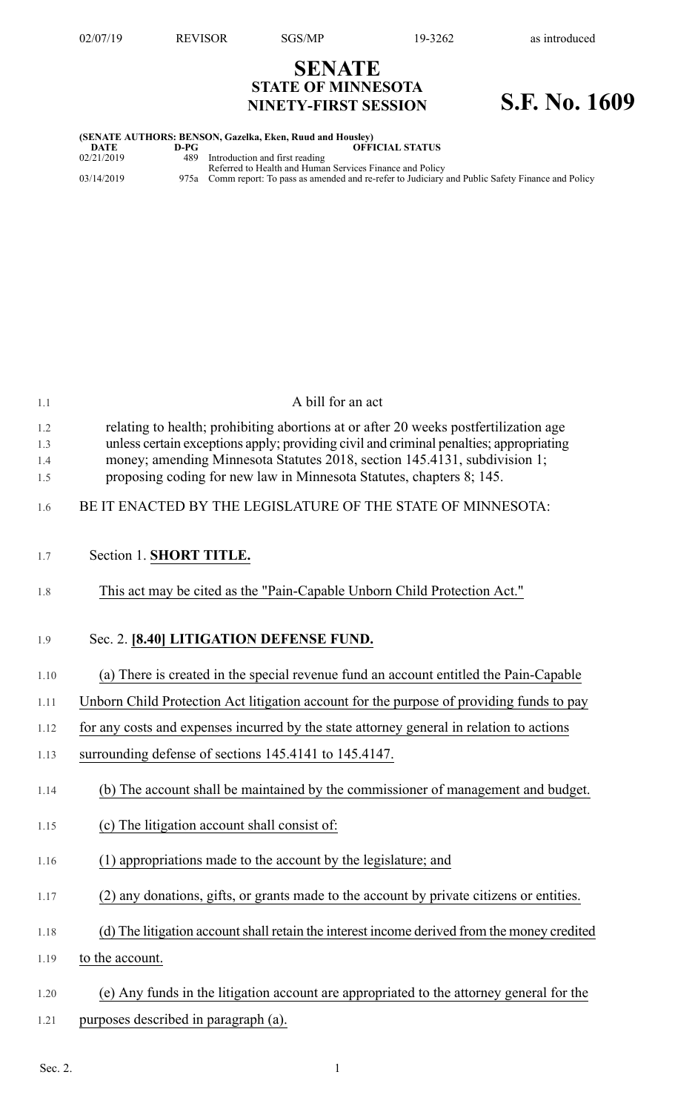## **SENATE STATE OF MINNESOTA NINETY-FIRST SESSION S.F. No. 1609**

| (SENATE AUTHORS: BENSON, Gazelka, Eken, Ruud and Housley) |      |                                                                                                     |  |  |  |
|-----------------------------------------------------------|------|-----------------------------------------------------------------------------------------------------|--|--|--|
| DATE                                                      | D-PG | <b>OFFICIAL STATUS</b>                                                                              |  |  |  |
| 02/21/2019                                                |      | 489 Introduction and first reading<br>Referred to Health and Human Services Finance and Policy      |  |  |  |
| 03/14/2019                                                |      | 975a Comm report: To pass as amended and re-refer to Judiciary and Public Safety Finance and Policy |  |  |  |

| 1.1                      | A bill for an act                                                                                                                                                                                                                                                                                                                   |
|--------------------------|-------------------------------------------------------------------------------------------------------------------------------------------------------------------------------------------------------------------------------------------------------------------------------------------------------------------------------------|
| 1.2<br>1.3<br>1.4<br>1.5 | relating to health; prohibiting abortions at or after 20 weeks postfertilization age<br>unless certain exceptions apply; providing civil and criminal penalties; appropriating<br>money; amending Minnesota Statutes 2018, section 145.4131, subdivision 1;<br>proposing coding for new law in Minnesota Statutes, chapters 8; 145. |
| 1.6                      | BE IT ENACTED BY THE LEGISLATURE OF THE STATE OF MINNESOTA:                                                                                                                                                                                                                                                                         |
| 1.7                      | Section 1. SHORT TITLE.                                                                                                                                                                                                                                                                                                             |
| 1.8                      | This act may be cited as the "Pain-Capable Unborn Child Protection Act."                                                                                                                                                                                                                                                            |
| 1.9                      | Sec. 2. [8.40] LITIGATION DEFENSE FUND.                                                                                                                                                                                                                                                                                             |
| 1.10                     | (a) There is created in the special revenue fund an account entitled the Pain-Capable                                                                                                                                                                                                                                               |
| 1.11                     | Unborn Child Protection Act litigation account for the purpose of providing funds to pay                                                                                                                                                                                                                                            |
| 1.12                     | for any costs and expenses incurred by the state attorney general in relation to actions                                                                                                                                                                                                                                            |
| 1.13                     | surrounding defense of sections 145.4141 to 145.4147.                                                                                                                                                                                                                                                                               |
| 1.14                     | (b) The account shall be maintained by the commissioner of management and budget.                                                                                                                                                                                                                                                   |
| 1.15                     | (c) The litigation account shall consist of:                                                                                                                                                                                                                                                                                        |
| 1.16                     | (1) appropriations made to the account by the legislature; and                                                                                                                                                                                                                                                                      |
| 1.17                     | (2) any donations, gifts, or grants made to the account by private citizens or entities.                                                                                                                                                                                                                                            |
| 1.18                     | (d) The litigation account shall retain the interest income derived from the money credited                                                                                                                                                                                                                                         |
| 1.19                     | to the account.                                                                                                                                                                                                                                                                                                                     |

- 1.20 (e) Any funds in the litigation account are appropriated to the attorney general for the
- 1.21 purposes described in paragraph (a).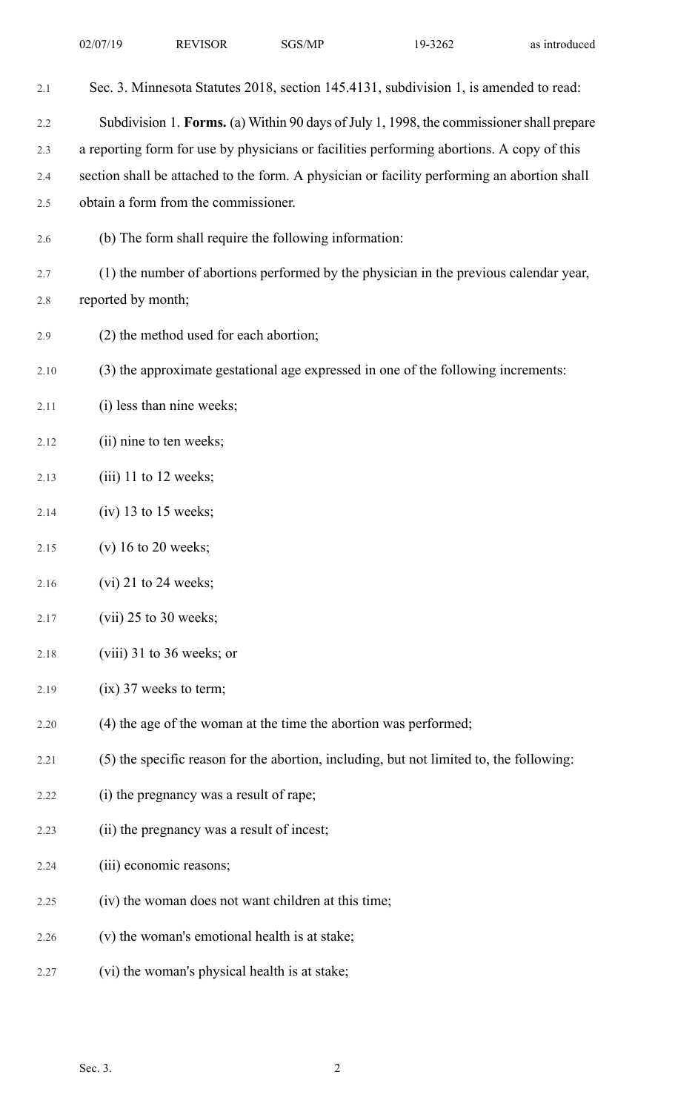| 2.1  | Sec. 3. Minnesota Statutes 2018, section 145.4131, subdivision 1, is amended to read:       |
|------|---------------------------------------------------------------------------------------------|
| 2.2  | Subdivision 1. Forms. (a) Within 90 days of July 1, 1998, the commissioner shall prepare    |
| 2.3  | a reporting form for use by physicians or facilities performing abortions. A copy of this   |
| 2.4  | section shall be attached to the form. A physician or facility performing an abortion shall |
| 2.5  | obtain a form from the commissioner.                                                        |
| 2.6  | (b) The form shall require the following information:                                       |
| 2.7  | (1) the number of abortions performed by the physician in the previous calendar year,       |
| 2.8  | reported by month;                                                                          |
| 2.9  | (2) the method used for each abortion;                                                      |
| 2.10 | (3) the approximate gestational age expressed in one of the following increments:           |
| 2.11 | (i) less than nine weeks;                                                                   |
| 2.12 | (ii) nine to ten weeks;                                                                     |
| 2.13 | $(iii)$ 11 to 12 weeks;                                                                     |
| 2.14 | $(iv)$ 13 to 15 weeks;                                                                      |
| 2.15 | $(v)$ 16 to 20 weeks;                                                                       |
| 2.16 | $(vi)$ 21 to 24 weeks;                                                                      |
| 2.17 | $(vii)$ 25 to 30 weeks;                                                                     |
| 2.18 | $(viii)$ 31 to 36 weeks; or                                                                 |
| 2.19 | $(ix)$ 37 weeks to term;                                                                    |
| 2.20 | (4) the age of the woman at the time the abortion was performed;                            |
| 2.21 | (5) the specific reason for the abortion, including, but not limited to, the following:     |
| 2.22 | (i) the pregnancy was a result of rape;                                                     |
| 2.23 | (ii) the pregnancy was a result of incest;                                                  |
| 2.24 | (iii) economic reasons;                                                                     |
| 2.25 | (iv) the woman does not want children at this time;                                         |
| 2.26 | (v) the woman's emotional health is at stake;                                               |
| 2.27 | (vi) the woman's physical health is at stake;                                               |
|      |                                                                                             |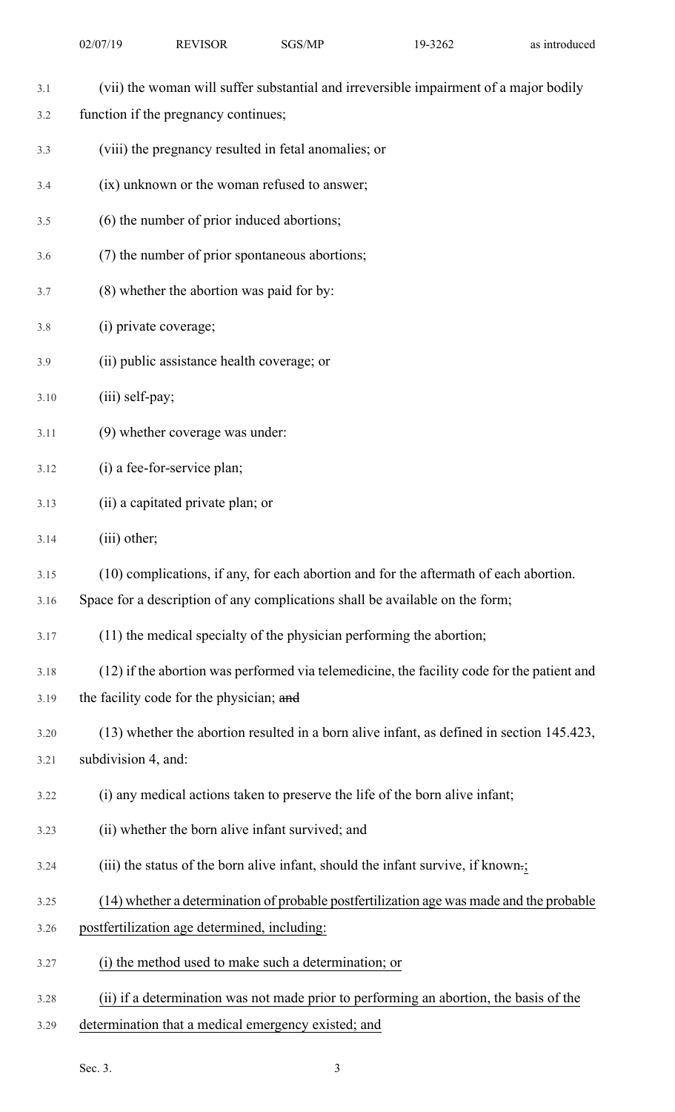- 3.1 (vii) the woman will suffer substantial and irreversible impairment of a major bodily
- 3.2 function if the pregnancy continues;
- 3.3 (viii) the pregnancy resulted in fetal anomalies; or
- 3.4 (ix) unknown or the woman refused to answer;
- 3.5 (6) the number of prior induced abortions;
- 3.6 (7) the number of prior spontaneous abortions;
- 3.7 (8) whether the abortion was paid for by:
- 3.8 (i) private coverage;
- 3.9 (ii) public assistance health coverage; or
- 3.10 (iii) self-pay;
- 3.11 (9) whether coverage was under:
- 3.12 (i) a fee-for-service plan;
- 3.13 (ii) a capitated private plan; or
- 3.14 (iii) other;
- 3.15 (10) complications, if any, for each abortion and for the aftermath of each abortion.

3.16 Space for a description of any complications shall be available on the form;

- 3.17 (11) the medical specialty of the physician performing the abortion;
- 3.18 (12) if the abortion was performed via telemedicine, the facility code for the patient and 3.19 the facility code for the physician; and
- 3.20 (13) whether the abortion resulted in a born alive infant, as defined in section 145.423,
- 3.21 subdivision 4, and:
- 3.22 (i) any medical actions taken to preserve the life of the born alive infant;
- 3.23 (ii) whether the born alive infant survived; and
- 3.24 (iii) the status of the born alive infant, should the infant survive, if known.;
- 3.25 (14) whether a determination of probable postfertilization age was made and the probable
- 3.26 postfertilization age determined, including:
- 3.27 (i) the method used to make such a determination; or
- 3.28 (ii) if a determination was not made prior to performing an abortion, the basis of the
- 3.29 determination that a medical emergency existed; and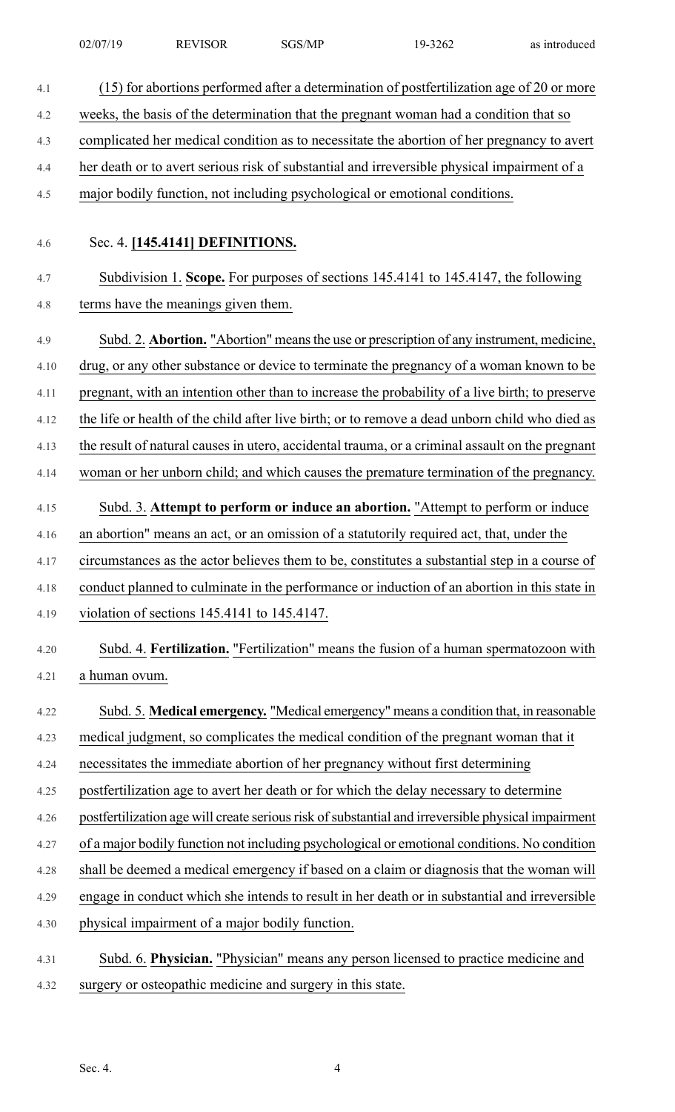| 02/07/19 | <b>REVISOR</b> | SGS/MP | 19-3262 | as introduced |
|----------|----------------|--------|---------|---------------|
|          |                |        |         |               |

| 4.1  | (15) for abortions performed after a determination of postfertilization age of 20 or more          |
|------|----------------------------------------------------------------------------------------------------|
| 4.2  | weeks, the basis of the determination that the pregnant woman had a condition that so              |
| 4.3  | complicated her medical condition as to necessitate the abortion of her pregnancy to avert         |
| 4.4  | her death or to avert serious risk of substantial and irreversible physical impairment of a        |
| 4.5  | major bodily function, not including psychological or emotional conditions.                        |
|      |                                                                                                    |
| 4.6  | Sec. 4. [145.4141] DEFINITIONS.                                                                    |
| 4.7  | Subdivision 1. Scope. For purposes of sections 145.4141 to 145.4147, the following                 |
| 4.8  | terms have the meanings given them.                                                                |
| 4.9  | Subd. 2. Abortion. "Abortion" means the use or prescription of any instrument, medicine,           |
| 4.10 | drug, or any other substance or device to terminate the pregnancy of a woman known to be           |
| 4.11 | pregnant, with an intention other than to increase the probability of a live birth; to preserve    |
| 4.12 | the life or health of the child after live birth; or to remove a dead unborn child who died as     |
| 4.13 | the result of natural causes in utero, accidental trauma, or a criminal assault on the pregnant    |
| 4.14 | woman or her unborn child; and which causes the premature termination of the pregnancy.            |
| 4.15 | Subd. 3. Attempt to perform or induce an abortion. "Attempt to perform or induce                   |
| 4.16 | an abortion" means an act, or an omission of a statutorily required act, that, under the           |
| 4.17 | circumstances as the actor believes them to be, constitutes a substantial step in a course of      |
| 4.18 | conduct planned to culminate in the performance or induction of an abortion in this state in       |
| 4.19 | violation of sections 145.4141 to 145.4147.                                                        |
| 4.20 | Subd. 4. Fertilization. "Fertilization" means the fusion of a human spermatozoon with              |
| 4.21 | a human ovum.                                                                                      |
| 4.22 | Subd. 5. Medical emergency. "Medical emergency" means a condition that, in reasonable              |
| 4.23 | medical judgment, so complicates the medical condition of the pregnant woman that it               |
| 4.24 | necessitates the immediate abortion of her pregnancy without first determining                     |
| 4.25 | postfertilization age to avert her death or for which the delay necessary to determine             |
| 4.26 | postfertilization age will create serious risk of substantial and irreversible physical impairment |
| 4.27 | of a major bodily function not including psychological or emotional conditions. No condition       |
| 4.28 | shall be deemed a medical emergency if based on a claim or diagnosis that the woman will           |
| 4.29 | engage in conduct which she intends to result in her death or in substantial and irreversible      |
| 4.30 | physical impairment of a major bodily function.                                                    |
| 4.31 | Subd. 6. Physician. "Physician" means any person licensed to practice medicine and                 |
|      |                                                                                                    |

4.32 surgery or osteopathic medicine and surgery in this state.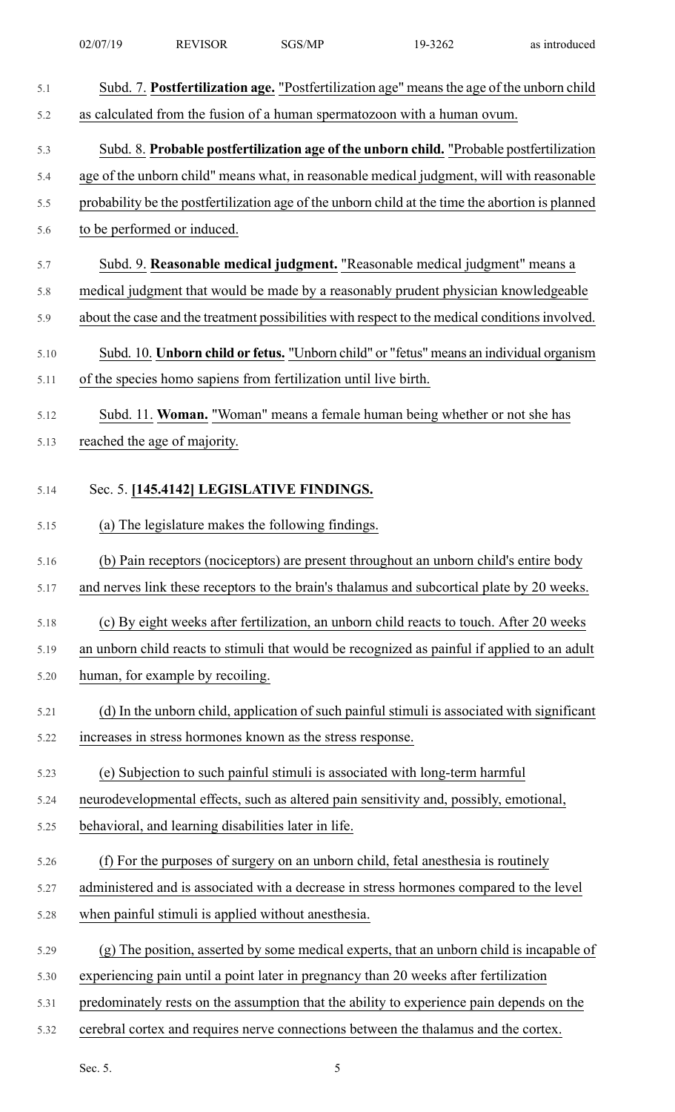|            | 02/07/19 | <b>REVISOR</b>                                                   | SGS/MP | 19-3262                                                                                          | as introduced |
|------------|----------|------------------------------------------------------------------|--------|--------------------------------------------------------------------------------------------------|---------------|
| 5.1        |          |                                                                  |        | Subd. 7. Postfertilization age. "Postfertilization age" means the age of the unborn child        |               |
| 5.2        |          |                                                                  |        | as calculated from the fusion of a human spermatozoon with a human ovum.                         |               |
|            |          |                                                                  |        |                                                                                                  |               |
| 5.3        |          |                                                                  |        | Subd. 8. Probable postfertilization age of the unborn child. "Probable postfertilization         |               |
| 5.4        |          |                                                                  |        | age of the unborn child" means what, in reasonable medical judgment, will with reasonable        |               |
| 5.5<br>5.6 |          | to be performed or induced.                                      |        | probability be the postfertilization age of the unborn child at the time the abortion is planned |               |
|            |          |                                                                  |        |                                                                                                  |               |
| 5.7        |          |                                                                  |        | Subd. 9. Reasonable medical judgment. "Reasonable medical judgment" means a                      |               |
| 5.8        |          |                                                                  |        | medical judgment that would be made by a reasonably prudent physician knowledgeable              |               |
| 5.9        |          |                                                                  |        | about the case and the treatment possibilities with respect to the medical conditions involved.  |               |
| 5.10       |          |                                                                  |        | Subd. 10. Unborn child or fetus. "Unborn child" or "fetus" means an individual organism          |               |
| 5.11       |          | of the species homo sapiens from fertilization until live birth. |        |                                                                                                  |               |
| 5.12       |          |                                                                  |        | Subd. 11. Woman. "Woman" means a female human being whether or not she has                       |               |
| 5.13       |          | reached the age of majority.                                     |        |                                                                                                  |               |
|            |          |                                                                  |        |                                                                                                  |               |
| 5.14       |          | Sec. 5. [145.4142] LEGISLATIVE FINDINGS.                         |        |                                                                                                  |               |
| 5.15       |          | (a) The legislature makes the following findings.                |        |                                                                                                  |               |
| 5.16       |          |                                                                  |        | (b) Pain receptors (nociceptors) are present throughout an unborn child's entire body            |               |
| 5.17       |          |                                                                  |        | and nerves link these receptors to the brain's thalamus and subcortical plate by 20 weeks.       |               |
| 5.18       |          |                                                                  |        | (c) By eight weeks after fertilization, an unborn child reacts to touch. After 20 weeks          |               |
| 5.19       |          |                                                                  |        | an unborn child reacts to stimuli that would be recognized as painful if applied to an adult     |               |
| 5.20       |          | human, for example by recoiling.                                 |        |                                                                                                  |               |
| 5.21       |          |                                                                  |        | (d) In the unborn child, application of such painful stimuli is associated with significant      |               |
| 5.22       |          | increases in stress hormones known as the stress response.       |        |                                                                                                  |               |
| 5.23       |          |                                                                  |        | (e) Subjection to such painful stimuli is associated with long-term harmful                      |               |
| 5.24       |          |                                                                  |        | neurodevelopmental effects, such as altered pain sensitivity and, possibly, emotional,           |               |
| 5.25       |          | behavioral, and learning disabilities later in life.             |        |                                                                                                  |               |
| 5.26       |          |                                                                  |        | (f) For the purposes of surgery on an unborn child, fetal anesthesia is routinely                |               |
| 5.27       |          |                                                                  |        | administered and is associated with a decrease in stress hormones compared to the level          |               |
| 5.28       |          | when painful stimuli is applied without anesthesia.              |        |                                                                                                  |               |
| 5.29       |          |                                                                  |        | (g) The position, asserted by some medical experts, that an unborn child is incapable of         |               |
| 5.30       |          |                                                                  |        | experiencing pain until a point later in pregnancy than 20 weeks after fertilization             |               |
| 5.31       |          |                                                                  |        | predominately rests on the assumption that the ability to experience pain depends on the         |               |
| 5.32       |          |                                                                  |        | cerebral cortex and requires nerve connections between the thalamus and the cortex.              |               |
|            | Sec. 5.  |                                                                  | 5      |                                                                                                  |               |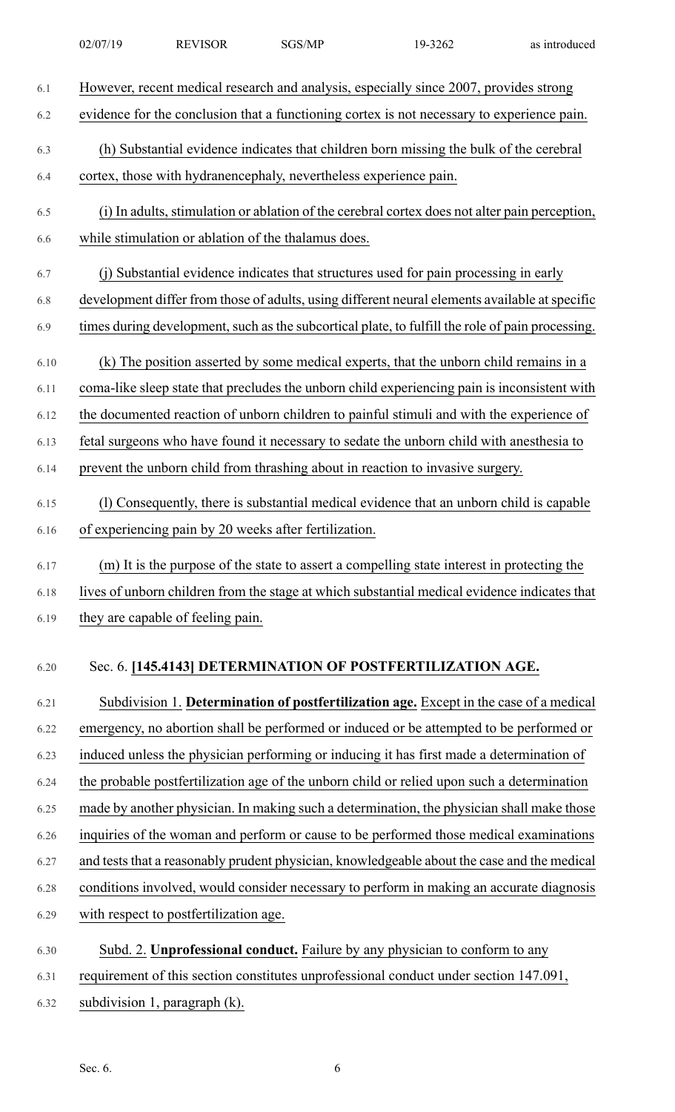| 6.1  | However, recent medical research and analysis, especially since 2007, provides strong            |
|------|--------------------------------------------------------------------------------------------------|
| 6.2  | evidence for the conclusion that a functioning cortex is not necessary to experience pain.       |
| 6.3  | (h) Substantial evidence indicates that children born missing the bulk of the cerebral           |
| 6.4  | cortex, those with hydranencephaly, nevertheless experience pain.                                |
|      |                                                                                                  |
| 6.5  | (i) In adults, stimulation or ablation of the cerebral cortex does not alter pain perception,    |
| 6.6  | while stimulation or ablation of the thalamus does.                                              |
| 6.7  | (j) Substantial evidence indicates that structures used for pain processing in early             |
| 6.8  | development differ from those of adults, using different neural elements available at specific   |
| 6.9  | times during development, such as the subcortical plate, to fulfill the role of pain processing. |
| 6.10 | (k) The position asserted by some medical experts, that the unborn child remains in a            |
| 6.11 | coma-like sleep state that precludes the unborn child experiencing pain is inconsistent with     |
| 6.12 | the documented reaction of unborn children to painful stimuli and with the experience of         |
| 6.13 | fetal surgeons who have found it necessary to sedate the unborn child with anesthesia to         |
| 6.14 | prevent the unborn child from thrashing about in reaction to invasive surgery.                   |
| 6.15 | (1) Consequently, there is substantial medical evidence that an unborn child is capable          |
| 6.16 | of experiencing pain by 20 weeks after fertilization.                                            |
|      |                                                                                                  |
| 6.17 | (m) It is the purpose of the state to assert a compelling state interest in protecting the       |
| 6.18 | lives of unborn children from the stage at which substantial medical evidence indicates that     |
| 6.19 | they are capable of feeling pain.                                                                |
|      |                                                                                                  |
| 6.20 | Sec. 6. [145.4143] DETERMINATION OF POSTFERTILIZATION AGE.                                       |
| 6.21 | Subdivision 1. Determination of postfertilization age. Except in the case of a medical           |
| 6.22 | emergency, no abortion shall be performed or induced or be attempted to be performed or          |
| 6.23 | induced unless the physician performing or inducing it has first made a determination of         |
| 6.24 | the probable postfertilization age of the unborn child or relied upon such a determination       |
| 6.25 | made by another physician. In making such a determination, the physician shall make those        |
| 6.26 | inquiries of the woman and perform or cause to be performed those medical examinations           |
| 6.27 | and tests that a reasonably prudent physician, knowledgeable about the case and the medical      |
| 6.28 | conditions involved, would consider necessary to perform in making an accurate diagnosis         |
| 6.29 | with respect to postfertilization age.                                                           |
| 6.30 | Subd. 2. Unprofessional conduct. Failure by any physician to conform to any                      |
| 6.31 | requirement of this section constitutes unprofessional conduct under section 147.091,            |
| 6.32 | subdivision 1, paragraph (k).                                                                    |
|      |                                                                                                  |
|      |                                                                                                  |
|      | Sec. 6.<br>6                                                                                     |

02/07/19 REVISOR SGS/MP 19-3262 as introduced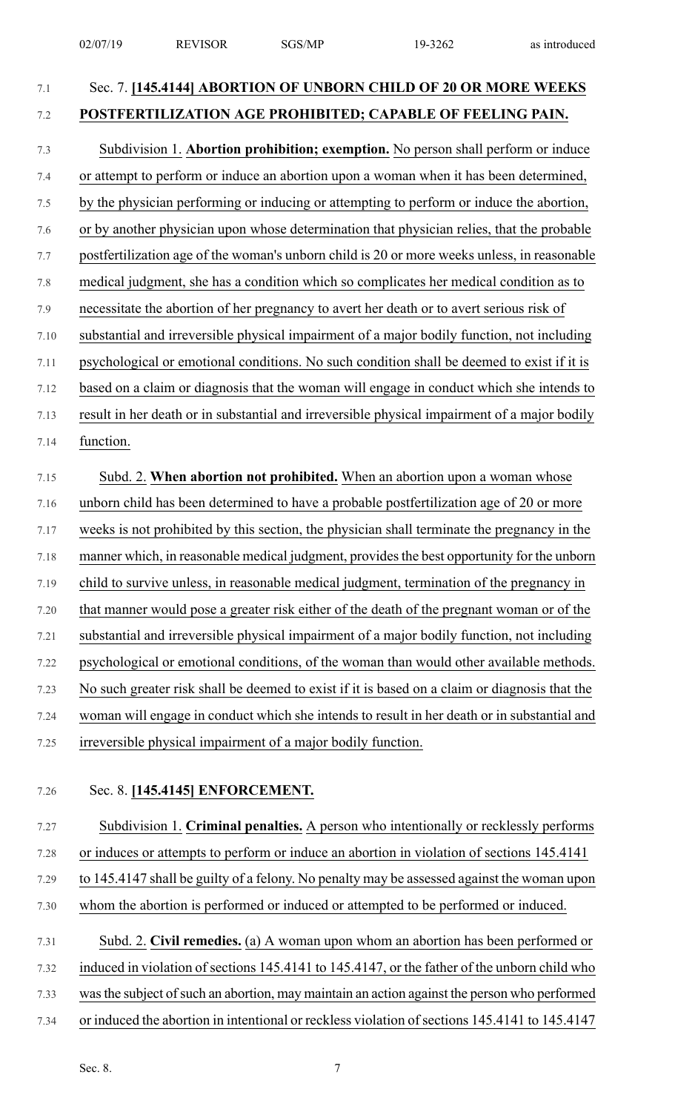## 7.1 Sec. 7. **[145.4144] ABORTION OF UNBORN CHILD OF 20 OR MORE WEEKS** 7.2 **POSTFERTILIZATION AGE PROHIBITED; CAPABLE OF FEELING PAIN.**

# 7.3 Subdivision 1. **Abortion prohibition; exemption.** No person shall perform or induce

7.4 or attempt to perform or induce an abortion upon a woman when it has been determined, 7.5 by the physician performing or inducing or attempting to perform or induce the abortion,

- 7.6 or by another physician upon whose determination that physician relies, that the probable
- 7.7 postfertilization age of the woman's unborn child is 20 or more weeks unless, in reasonable
- 7.8 medical judgment, she has a condition which so complicates her medical condition as to
- 7.9 necessitate the abortion of her pregnancy to avert her death or to avert serious risk of
- 7.10 substantial and irreversible physical impairment of a major bodily function, not including
- 7.11 psychological or emotional conditions. No such condition shall be deemed to exist if it is

7.12 based on a claim or diagnosis that the woman will engage in conduct which she intends to

7.13 result in her death or in substantial and irreversible physical impairment of a major bodily 7.14 function.

## 7.15 Subd. 2. **When abortion not prohibited.** When an abortion upon a woman whose 7.16 unborn child has been determined to have a probable postfertilization age of 20 or more 7.17 weeks is not prohibited by this section, the physician shall terminate the pregnancy in the 7.18 manner which, in reasonable medical judgment, provides the best opportunity for the unborn 7.19 child to survive unless, in reasonable medical judgment, termination of the pregnancy in 7.20 that manner would pose a greater risk either of the death of the pregnant woman or of the 7.21 substantial and irreversible physical impairment of a major bodily function, not including 7.22 psychological or emotional conditions, of the woman than would other available methods. 7.23 No such greater risk shall be deemed to exist if it is based on a claim or diagnosis that the 7.24 woman will engage in conduct which she intends to result in her death or in substantial and 7.25 irreversible physical impairment of a major bodily function.

### 7.26 Sec. 8. **[145.4145] ENFORCEMENT.**

7.27 Subdivision 1. **Criminal penalties.** A person who intentionally or recklessly performs 7.28 or induces or attempts to perform or induce an abortion in violation of sections 145.4141 7.29 to 145.4147 shall be guilty of a felony. No penalty may be assessed against the woman upon

- 7.30 whom the abortion is performed or induced or attempted to be performed or induced.
- 7.31 Subd. 2. **Civil remedies.** (a) A woman upon whom an abortion has been performed or 7.32 induced in violation of sections 145.4141 to 145.4147, or the father of the unborn child who 7.33 was the subject of such an abortion, may maintain an action against the person who performed 7.34 or induced the abortion in intentional or reckless violation of sections 145.4141 to 145.4147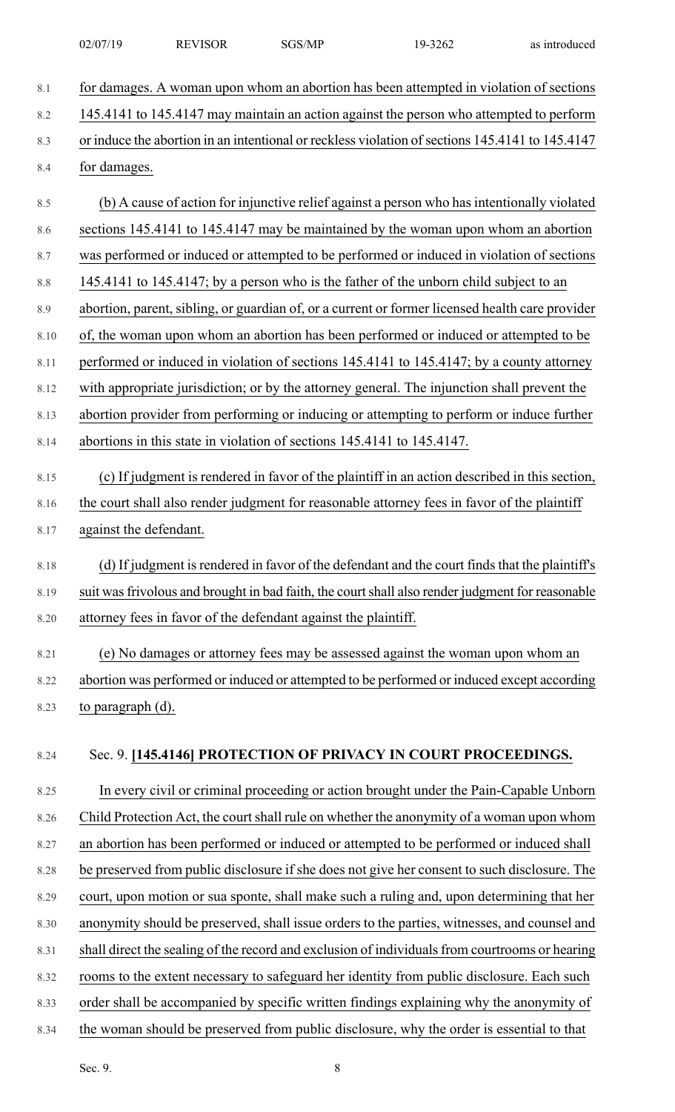| 02/07/19 | <b>REVISOR</b> | SGS/MP | 19-3262 | as introduced |
|----------|----------------|--------|---------|---------------|
|          |                |        |         |               |

- 8.1 for damages. A woman upon whom an abortion has been attempted in violation of sections 8.2 145.4141 to 145.4147 may maintain an action against the person who attempted to perform 8.3 or induce the abortion in an intentional or reckless violation of sections 145.4141 to 145.4147 8.4 for damages.
- 8.5 (b) A cause of action for injunctive relief against a person who has intentionally violated 8.6 sections 145.4141 to 145.4147 may be maintained by the woman upon whom an abortion
- 8.7 was performed or induced or attempted to be performed or induced in violation of sections
- 8.8 145.4141 to 145.4147; by a person who is the father of the unborn child subject to an
- 8.9 abortion, parent, sibling, or guardian of, or a current or former licensed health care provider
- 8.10 of, the woman upon whom an abortion has been performed or induced or attempted to be
- 8.11 performed or induced in violation of sections 145.4141 to 145.4147; by a county attorney
- 8.12 with appropriate jurisdiction; or by the attorney general. The injunction shall prevent the
- 8.13 abortion provider from performing or inducing or attempting to perform or induce further
- 8.14 abortions in this state in violation of sections 145.4141 to 145.4147.
- 8.15 (c) If judgment is rendered in favor of the plaintiff in an action described in this section, 8.16 the court shall also render judgment for reasonable attorney fees in favor of the plaintiff 8.17 against the defendant.
- 8.18 (d) If judgment is rendered in favor of the defendant and the court finds that the plaintiff's 8.19 suit was frivolous and brought in bad faith, the court shall also render judgment for reasonable 8.20 attorney fees in favor of the defendant against the plaintiff.
- 8.21 (e) No damages or attorney fees may be assessed against the woman upon whom an 8.22 abortion was performed or induced or attempted to be performed or induced except according 8.23 to paragraph (d).

## 8.24 Sec. 9. **[145.4146] PROTECTION OF PRIVACY IN COURT PROCEEDINGS.**

8.25 In every civil or criminal proceeding or action brought under the Pain-Capable Unborn 8.26 Child Protection Act, the court shall rule on whether the anonymity of a woman upon whom 8.27 an abortion has been performed or induced or attempted to be performed or induced shall 8.28 be preserved from public disclosure if she does not give her consent to such disclosure. The 8.29 court, upon motion or sua sponte, shall make such a ruling and, upon determining that her 8.30 anonymity should be preserved, shall issue orders to the parties, witnesses, and counsel and 8.31 shall direct the sealing of the record and exclusion of individuals from courtrooms or hearing 8.32 rooms to the extent necessary to safeguard her identity from public disclosure. Each such 8.33 order shall be accompanied by specific written findings explaining why the anonymity of 8.34 the woman should be preserved from public disclosure, why the order is essential to that